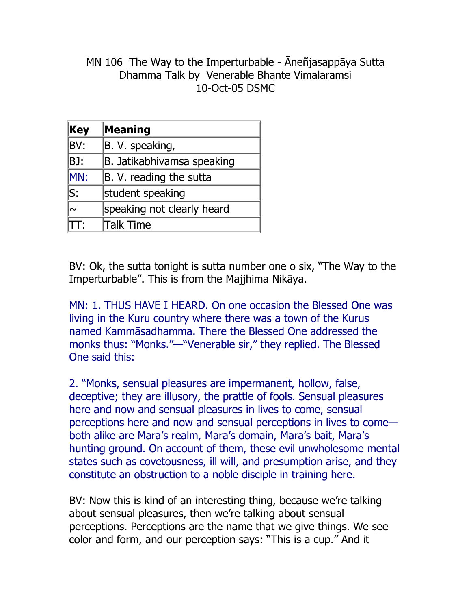MN 106 The Way to the Imperturbable - Aneñjasappāya Sutta Dhamma Talk by Venerable Bhante Vimalaramsi 10-Oct-05 DSMC

| Key               | Meaning                            |
|-------------------|------------------------------------|
| BV:               | B. V. speaking,                    |
| BJ:               | B. Jatikabhivamsa speaking         |
| MN:               | $\mathbb B$ . V. reading the sutta |
| ls:               | student speaking                   |
| $\overline{\sim}$ | speaking not clearly heard         |
| TT:               | Talk Time                          |

BV: Ok, the sutta tonight is sutta number one o six, "The Way to the Imperturbable". This is from the Majjhima Nikāya.

MN: 1. THUS HAVE I HEARD. On one occasion the Blessed One was living in the Kuru country where there was a town of the Kurus named Kammāsadhamma. There the Blessed One addressed the monks thus: "Monks."—"Venerable sir," they replied. The Blessed One said this:

2. "Monks, sensual pleasures are impermanent, hollow, false, deceptive; they are illusory, the prattle of fools. Sensual pleasures here and now and sensual pleasures in lives to come, sensual perceptions here and now and sensual perceptions in lives to come both alike are Mara's realm, Mara's domain, Mara's bait, Mara's hunting ground. On account of them, these evil unwholesome mental states such as covetousness, ill will, and presumption arise, and they constitute an obstruction to a noble disciple in training here.

BV: Now this is kind of an interesting thing, because we're talking about sensual pleasures, then we're talking about sensual perceptions. Perceptions are the name that we give things. We see color and form, and our perception says: "This is a cup." And it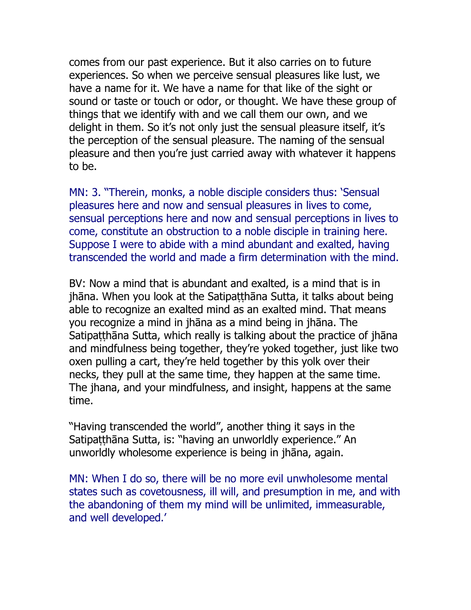comes from our past experience. But it also carries on to future experiences. So when we perceive sensual pleasures like lust, we have a name for it. We have a name for that like of the sight or sound or taste or touch or odor, or thought. We have these group of things that we identify with and we call them our own, and we delight in them. So it's not only just the sensual pleasure itself, it's the perception of the sensual pleasure. The naming of the sensual pleasure and then you're just carried away with whatever it happens to be.

MN: 3. "Therein, monks, a noble disciple considers thus: 'Sensual pleasures here and now and sensual pleasures in lives to come, sensual perceptions here and now and sensual perceptions in lives to come, constitute an obstruction to a noble disciple in training here. Suppose I were to abide with a mind abundant and exalted, having transcended the world and made a firm determination with the mind.

BV: Now a mind that is abundant and exalted, is a mind that is in jhāna. When you look at the Satipatthāna Sutta, it talks about being able to recognize an exalted mind as an exalted mind. That means you recognize a mind in jhāna as a mind being in jhāna. The Satipatthāna Sutta, which really is talking about the practice of jhāna and mindfulness being together, they're yoked together, just like two oxen pulling a cart, they're held together by this yolk over their necks, they pull at the same time, they happen at the same time. The jhana, and your mindfulness, and insight, happens at the same time.

"Having transcended the world", another thing it says in the Satipatthāna Sutta, is: "having an unworldly experience." An unworldly wholesome experience is being in jhāna, again.

MN: When I do so, there will be no more evil unwholesome mental states such as covetousness, ill will, and presumption in me, and with the abandoning of them my mind will be unlimited, immeasurable, and well developed.'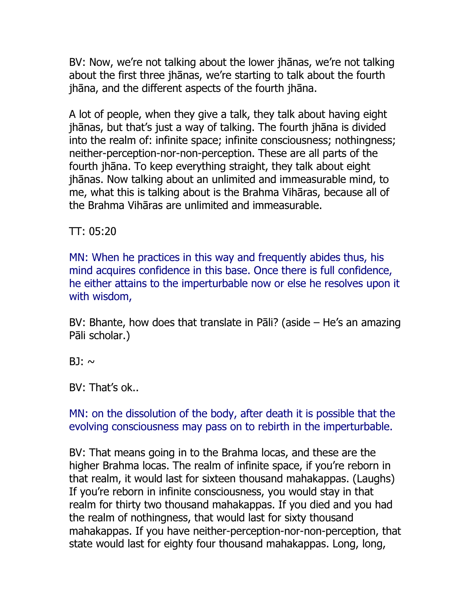BV: Now, we're not talking about the lower jhānas, we're not talking about the first three jhānas, we're starting to talk about the fourth jhāna, and the different aspects of the fourth jhāna.

A lot of people, when they give a talk, they talk about having eight jhānas, but that's just a way of talking. The fourth jhāna is divided into the realm of: infinite space; infinite consciousness; nothingness; neither-perception-nor-non-perception. These are all parts of the fourth jhāna. To keep everything straight, they talk about eight jhānas. Now talking about an unlimited and immeasurable mind, to me, what this is talking about is the Brahma Vihāras, because all of the Brahma Vihāras are unlimited and immeasurable.

 $TT: 05:20$ 

MN: When he practices in this way and frequently abides thus, his mind acquires confidence in this base. Once there is full confidence, he either attains to the imperturbable now or else he resolves upon it with wisdom,

BV: Bhante, how does that translate in Pāli? (aside – He's an amazing Pāli scholar.)

 $B$ ]:  $\sim$ 

BV: That's ok..

MN: on the dissolution of the body, after death it is possible that the evolving consciousness may pass on to rebirth in the imperturbable.

BV: That means going in to the Brahma locas, and these are the higher Brahma locas. The realm of infinite space, if you're reborn in that realm, it would last for sixteen thousand mahakappas. (Laughs) If you're reborn in infinite consciousness, you would stay in that realm for thirty two thousand mahakappas. If you died and you had the realm of nothingness, that would last for sixty thousand mahakappas. If you have neither-perception-nor-non-perception, that state would last for eighty four thousand mahakappas. Long, long,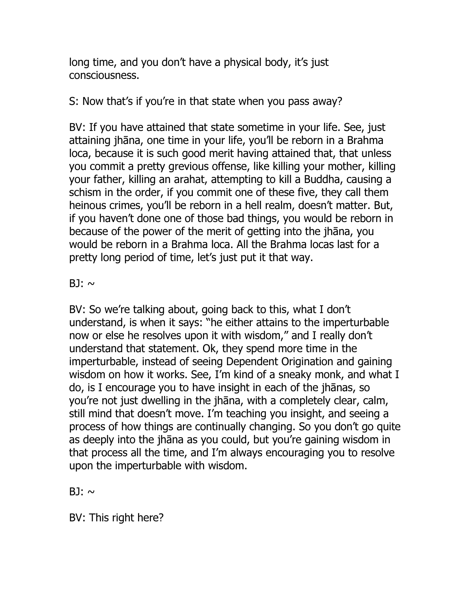long time, and you don't have a physical body, it's just consciousness.

S: Now that's if you're in that state when you pass away?

BV: If you have attained that state sometime in your life. See, just attaining jhāna, one time in your life, you'll be reborn in a Brahma loca, because it is such good merit having attained that, that unless you commit a pretty grevious offense, like killing your mother, killing your father, killing an arahat, attempting to kill a Buddha, causing a schism in the order, if you commit one of these five, they call them heinous crimes, you'll be reborn in a hell realm, doesn't matter. But, if you haven't done one of those bad things, you would be reborn in because of the power of the merit of getting into the jhāna, you would be reborn in a Brahma loca. All the Brahma locas last for a pretty long period of time, let's just put it that way.

BJ:  $\sim$ 

BV: So we're talking about, going back to this, what I don't understand, is when it says: "he either attains to the imperturbable now or else he resolves upon it with wisdom," and I really don't understand that statement. Ok, they spend more time in the imperturbable, instead of seeing Dependent Origination and gaining wisdom on how it works. See, I'm kind of a sneaky monk, and what I do, is I encourage you to have insight in each of the jhānas, so you're not just dwelling in the jhāna, with a completely clear, calm, still mind that doesn't move. I'm teaching you insight, and seeing a process of how things are continually changing. So you don't go quite as deeply into the jhāna as you could, but you're gaining wisdom in that process all the time, and I'm always encouraging you to resolve upon the imperturbable with wisdom.

BJ:  $\sim$ 

BV: This right here?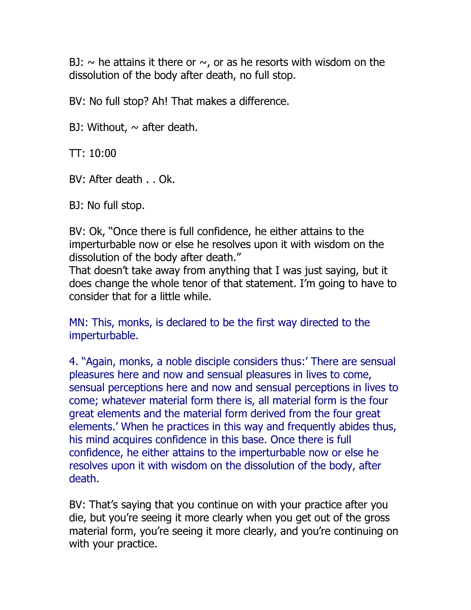BJ:  $\sim$  he attains it there or  $\sim$ , or as he resorts with wisdom on the dissolution of the body after death, no full stop.

BV: No full stop? Ah! That makes a difference.

BJ: Without,  $\sim$  after death.

 $TT: 10:00$ 

BV: After death . . Ok.

BJ: No full stop.

BV: Ok, "Once there is full confidence, he either attains to the imperturbable now or else he resolves upon it with wisdom on the dissolution of the body after death."

That doesn't take away from anything that I was just saying, but it does change the whole tenor of that statement. I'm going to have to consider that for a little while.

MN: This, monks, is declared to be the first way directed to the imperturbable.

4. "Again, monks, a noble disciple considers thus:' There are sensual pleasures here and now and sensual pleasures in lives to come, sensual perceptions here and now and sensual perceptions in lives to come; whatever material form there is, all material form is the four great elements and the material form derived from the four great elements.' When he practices in this way and frequently abides thus, his mind acquires confidence in this base. Once there is full confidence, he either attains to the imperturbable now or else he resolves upon it with wisdom on the dissolution of the body, after death.

BV: That's saying that you continue on with your practice after you die, but you're seeing it more clearly when you get out of the gross material form, you're seeing it more clearly, and you're continuing on with your practice.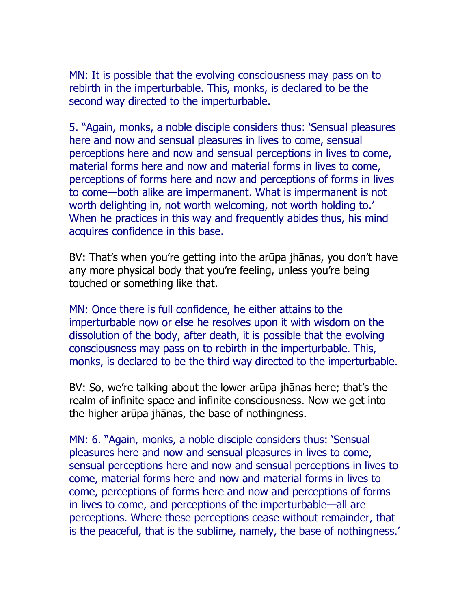MN: It is possible that the evolving consciousness may pass on to rebirth in the imperturbable. This, monks, is declared to be the second way directed to the imperturbable.

5. "Again, monks, a noble disciple considers thus: 'Sensual pleasures here and now and sensual pleasures in lives to come, sensual perceptions here and now and sensual perceptions in lives to come, material forms here and now and material forms in lives to come, perceptions of forms here and now and perceptions of forms in lives to come—both alike are impermanent. What is impermanent is not worth delighting in, not worth welcoming, not worth holding to.' When he practices in this way and frequently abides thus, his mind acquires confidence in this base.

BV: That's when you're getting into the arūpa jhānas, you don't have any more physical body that you're feeling, unless you're being touched or something like that.

MN: Once there is full confidence, he either attains to the imperturbable now or else he resolves upon it with wisdom on the dissolution of the body, after death, it is possible that the evolving consciousness may pass on to rebirth in the imperturbable. This, monks, is declared to be the third way directed to the imperturbable.

BV: So, we're talking about the lower arūpa jhānas here; that's the realm of infinite space and infinite consciousness. Now we get into the higher arūpa jhānas, the base of nothingness.

MN: 6. "Again, monks, a noble disciple considers thus: 'Sensual pleasures here and now and sensual pleasures in lives to come, sensual perceptions here and now and sensual perceptions in lives to come, material forms here and now and material forms in lives to come, perceptions of forms here and now and perceptions of forms in lives to come, and perceptions of the imperturbable—all are perceptions. Where these perceptions cease without remainder, that is the peaceful, that is the sublime, namely, the base of nothingness.'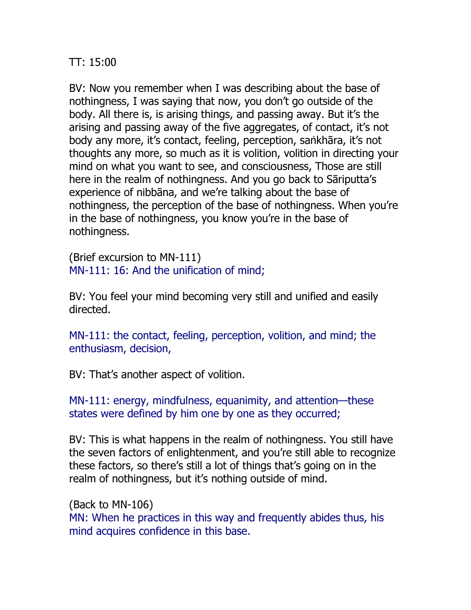## $TT: 15:00$

BV: Now you remember when I was describing about the base of nothingness, I was saying that now, you don't go outside of the body. All there is, is arising things, and passing away. But it's the arising and passing away of the five aggregates, of contact, it's not body any more, it's contact, feeling, perception, saṅkhāra, it's not thoughts any more, so much as it is volition, volition in directing your mind on what you want to see, and consciousness, Those are still here in the realm of nothingness. And you go back to Sāriputta's experience of nibbāna, and we're talking about the base of nothingness, the perception of the base of nothingness. When you're in the base of nothingness, you know you're in the base of nothingness.

(Brief excursion to MN-111) MN-111: 16: And the unification of mind;

BV: You feel your mind becoming very still and unified and easily directed.

MN-111: the contact, feeling, perception, volition, and mind; the enthusiasm, decision,

BV: That's another aspect of volition.

MN-111: energy, mindfulness, equanimity, and attention—these states were defined by him one by one as they occurred;

BV: This is what happens in the realm of nothingness. You still have the seven factors of enlightenment, and you're still able to recognize these factors, so there's still a lot of things that's going on in the realm of nothingness, but it's nothing outside of mind.

(Back to MN-106)

MN: When he practices in this way and frequently abides thus, his mind acquires confidence in this base.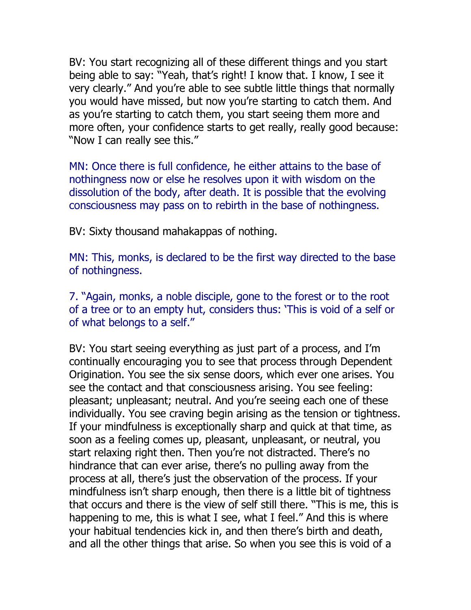BV: You start recognizing all of these different things and you start being able to say: "Yeah, that's right! I know that. I know, I see it very clearly." And you're able to see subtle little things that normally you would have missed, but now you're starting to catch them. And as you're starting to catch them, you start seeing them more and more often, your confidence starts to get really, really good because: "Now I can really see this."

MN: Once there is full confidence, he either attains to the base of nothingness now or else he resolves upon it with wisdom on the dissolution of the body, after death. It is possible that the evolving consciousness may pass on to rebirth in the base of nothingness.

BV: Sixty thousand mahakappas of nothing.

MN: This, monks, is declared to be the first way directed to the base of nothingness.

7. "Again, monks, a noble disciple, gone to the forest or to the root of a tree or to an empty hut, considers thus: 'This is void of a self or of what belongs to a self."

BV: You start seeing everything as just part of a process, and I'm continually encouraging you to see that process through Dependent Origination. You see the six sense doors, which ever one arises. You see the contact and that consciousness arising. You see feeling: pleasant; unpleasant; neutral. And you're seeing each one of these individually. You see craving begin arising as the tension or tightness. If your mindfulness is exceptionally sharp and quick at that time, as soon as a feeling comes up, pleasant, unpleasant, or neutral, you start relaxing right then. Then you're not distracted. There's no hindrance that can ever arise, there's no pulling away from the process at all, there's just the observation of the process. If your mindfulness isn't sharp enough, then there is a little bit of tightness that occurs and there is the view of self still there. "This is me, this is happening to me, this is what I see, what I feel." And this is where your habitual tendencies kick in, and then there's birth and death, and all the other things that arise. So when you see this is void of a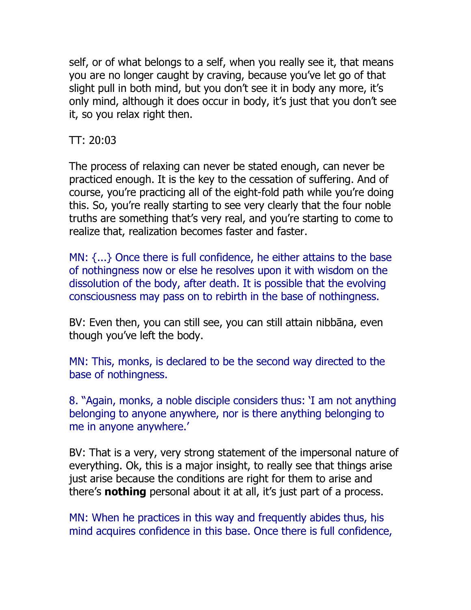self, or of what belongs to a self, when you really see it, that means you are no longer caught by craving, because you've let go of that slight pull in both mind, but you don't see it in body any more, it's only mind, although it does occur in body, it's just that you don't see it, so you relax right then.

## $TT: 20:03$

The process of relaxing can never be stated enough, can never be practiced enough. It is the key to the cessation of suffering. And of course, you're practicing all of the eight-fold path while you're doing this. So, you're really starting to see very clearly that the four noble truths are something that's very real, and you're starting to come to realize that, realization becomes faster and faster.

MN: {...} Once there is full confidence, he either attains to the base of nothingness now or else he resolves upon it with wisdom on the dissolution of the body, after death. It is possible that the evolving consciousness may pass on to rebirth in the base of nothingness.

BV: Even then, you can still see, you can still attain nibbāna, even though you've left the body.

MN: This, monks, is declared to be the second way directed to the base of nothingness.

8. "Again, monks, a noble disciple considers thus: 'I am not anything belonging to anyone anywhere, nor is there anything belonging to me in anyone anywhere.'

BV: That is a very, very strong statement of the impersonal nature of everything. Ok, this is a major insight, to really see that things arise just arise because the conditions are right for them to arise and there's nothing personal about it at all, it's just part of a process.

MN: When he practices in this way and frequently abides thus, his mind acquires confidence in this base. Once there is full confidence,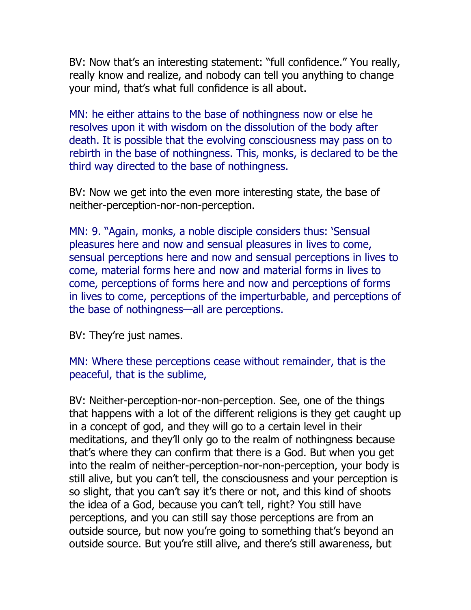BV: Now that's an interesting statement: "full confidence." You really, really know and realize, and nobody can tell you anything to change your mind, that's what full confidence is all about.

MN: he either attains to the base of nothingness now or else he resolves upon it with wisdom on the dissolution of the body after death. It is possible that the evolving consciousness may pass on to rebirth in the base of nothingness. This, monks, is declared to be the third way directed to the base of nothingness.

BV: Now we get into the even more interesting state, the base of neither-perception-nor-non-perception.

MN: 9. "Again, monks, a noble disciple considers thus: 'Sensual pleasures here and now and sensual pleasures in lives to come, sensual perceptions here and now and sensual perceptions in lives to come, material forms here and now and material forms in lives to come, perceptions of forms here and now and perceptions of forms in lives to come, perceptions of the imperturbable, and perceptions of the base of nothingness—all are perceptions.

BV: They're just names.

MN: Where these perceptions cease without remainder, that is the peaceful, that is the sublime,

BV: Neither-perception-nor-non-perception. See, one of the things that happens with a lot of the different religions is they get caught up in a concept of god, and they will go to a certain level in their meditations, and they'll only go to the realm of nothingness because that's where they can confirm that there is a God. But when you get into the realm of neither-perception-nor-non-perception, your body is still alive, but you can't tell, the consciousness and your perception is so slight, that you can't say it's there or not, and this kind of shoots the idea of a God, because you can't tell, right? You still have perceptions, and you can still say those perceptions are from an outside source, but now you're going to something that's beyond an outside source. But you're still alive, and there's still awareness, but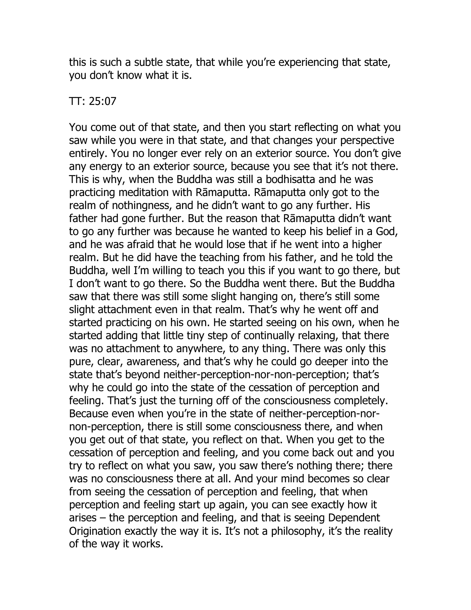this is such a subtle state, that while you're experiencing that state, you don't know what it is.

## $TT: 25:07$

You come out of that state, and then you start reflecting on what you saw while you were in that state, and that changes your perspective entirely. You no longer ever rely on an exterior source. You don't give any energy to an exterior source, because you see that it's not there. This is why, when the Buddha was still a bodhisatta and he was practicing meditation with Rāmaputta. Rāmaputta only got to the realm of nothingness, and he didn't want to go any further. His father had gone further. But the reason that Rāmaputta didn't want to go any further was because he wanted to keep his belief in a God, and he was afraid that he would lose that if he went into a higher realm. But he did have the teaching from his father, and he told the Buddha, well I'm willing to teach you this if you want to go there, but I don't want to go there. So the Buddha went there. But the Buddha saw that there was still some slight hanging on, there's still some slight attachment even in that realm. That's why he went off and started practicing on his own. He started seeing on his own, when he started adding that little tiny step of continually relaxing, that there was no attachment to anywhere, to any thing. There was only this pure, clear, awareness, and that's why he could go deeper into the state that's beyond neither-perception-nor-non-perception; that's why he could go into the state of the cessation of perception and feeling. That's just the turning off of the consciousness completely. Because even when you're in the state of neither-perception-nornon-perception, there is still some consciousness there, and when you get out of that state, you reflect on that. When you get to the cessation of perception and feeling, and you come back out and you try to reflect on what you saw, you saw there's nothing there; there was no consciousness there at all. And your mind becomes so clear from seeing the cessation of perception and feeling, that when perception and feeling start up again, you can see exactly how it arises – the perception and feeling, and that is seeing Dependent Origination exactly the way it is. It's not a philosophy, it's the reality of the way it works.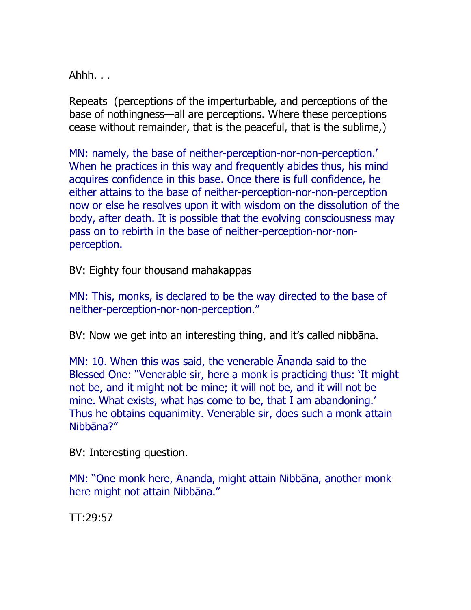Ahhh. . .

Repeats (perceptions of the imperturbable, and perceptions of the base of nothingness—all are perceptions. Where these perceptions cease without remainder, that is the peaceful, that is the sublime,)

MN: namely, the base of neither-perception-nor-non-perception.' When he practices in this way and frequently abides thus, his mind acquires confidence in this base. Once there is full confidence, he either attains to the base of neither-perception-nor-non-perception now or else he resolves upon it with wisdom on the dissolution of the body, after death. It is possible that the evolving consciousness may pass on to rebirth in the base of neither-perception-nor-nonperception.

BV: Eighty four thousand mahakappas

MN: This, monks, is declared to be the way directed to the base of neither-perception-nor-non-perception."

BV: Now we get into an interesting thing, and it's called nibbāna.

MN: 10. When this was said, the venerable Ānanda said to the Blessed One: "Venerable sir, here a monk is practicing thus: 'It might not be, and it might not be mine; it will not be, and it will not be mine. What exists, what has come to be, that I am abandoning.' Thus he obtains equanimity. Venerable sir, does such a monk attain Nibbāna?"

BV: Interesting question.

MN: "One monk here, Ānanda, might attain Nibbāna, another monk here might not attain Nibbāna."

 $TT:29:57$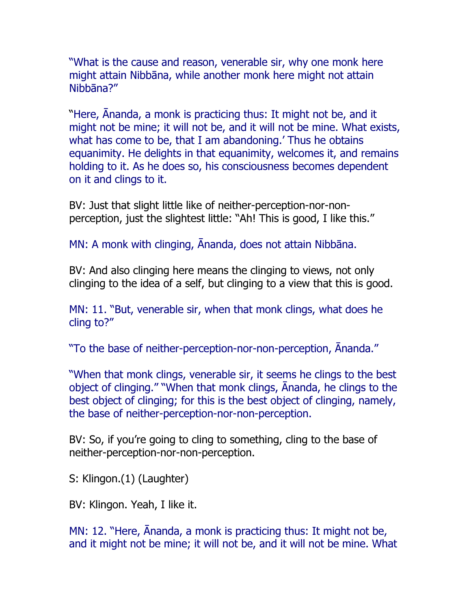"What is the cause and reason, venerable sir, why one monk here might attain Nibbāna, while another monk here might not attain Nibbāna?"

"Here, Ānanda, a monk is practicing thus: It might not be, and it might not be mine; it will not be, and it will not be mine. What exists, what has come to be, that I am abandoning.' Thus he obtains equanimity. He delights in that equanimity, welcomes it, and remains holding to it. As he does so, his consciousness becomes dependent on it and clings to it.

BV: Just that slight little like of neither-perception-nor-nonperception, just the slightest little: "Ah! This is good, I like this."

MN: A monk with clinging, Ānanda, does not attain Nibbāna.

BV: And also clinging here means the clinging to views, not only clinging to the idea of a self, but clinging to a view that this is good.

MN: 11. "But, venerable sir, when that monk clings, what does he cling to?"

"To the base of neither-perception-nor-non-perception, Ānanda."

"When that monk clings, venerable sir, it seems he clings to the best object of clinging." "When that monk clings, Ānanda, he clings to the best object of clinging; for this is the best object of clinging, namely, the base of neither-perception-nor-non-perception.

BV: So, if you're going to cling to something, cling to the base of neither-perception-nor-non-perception.

S: Klingon.(1) (Laughter)

BV: Klingon. Yeah, I like it.

MN: 12. "Here, Ānanda, a monk is practicing thus: It might not be, and it might not be mine; it will not be, and it will not be mine. What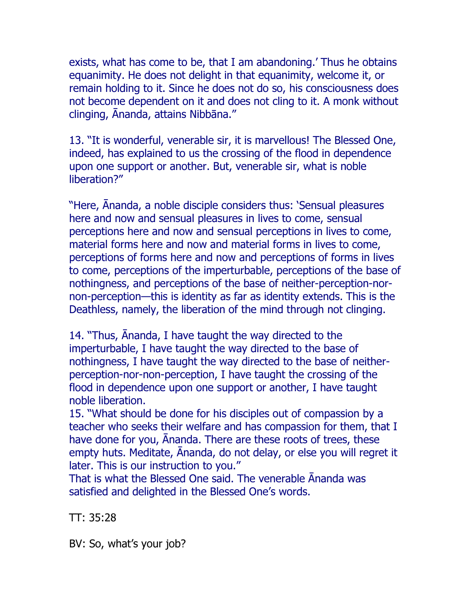exists, what has come to be, that I am abandoning.' Thus he obtains equanimity. He does not delight in that equanimity, welcome it, or remain holding to it. Since he does not do so, his consciousness does not become dependent on it and does not cling to it. A monk without clinging, Ānanda, attains Nibbāna."

13. "It is wonderful, venerable sir, it is marvellous! The Blessed One, indeed, has explained to us the crossing of the flood in dependence upon one support or another. But, venerable sir, what is noble liberation?"

"Here, Ānanda, a noble disciple considers thus: 'Sensual pleasures here and now and sensual pleasures in lives to come, sensual perceptions here and now and sensual perceptions in lives to come, material forms here and now and material forms in lives to come, perceptions of forms here and now and perceptions of forms in lives to come, perceptions of the imperturbable, perceptions of the base of nothingness, and perceptions of the base of neither-perception-nornon-perception—this is identity as far as identity extends. This is the Deathless, namely, the liberation of the mind through not clinging.

14. "Thus, Ānanda, I have taught the way directed to the imperturbable, I have taught the way directed to the base of nothingness, I have taught the way directed to the base of neitherperception-nor-non-perception, I have taught the crossing of the flood in dependence upon one support or another, I have taught noble liberation.

15. "What should be done for his disciples out of compassion by a teacher who seeks their welfare and has compassion for them, that I have done for you, Ānanda. There are these roots of trees, these empty huts. Meditate, Ānanda, do not delay, or else you will regret it later. This is our instruction to you."

That is what the Blessed One said. The venerable Ānanda was satisfied and delighted in the Blessed One's words.

 $TT: 35:28$ 

BV: So, what's your job?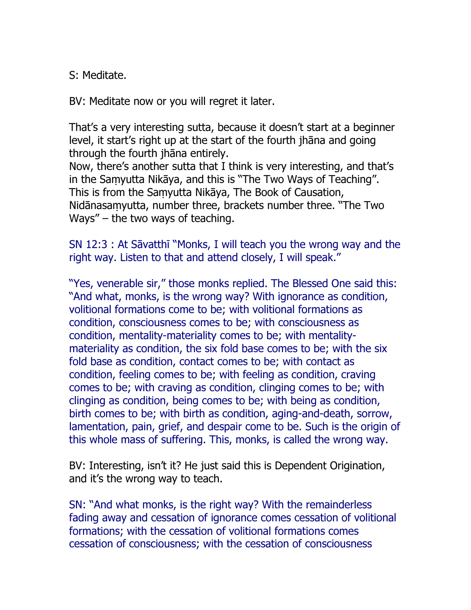S: Meditate.

BV: Meditate now or you will regret it later.

That's a very interesting sutta, because it doesn't start at a beginner level, it start's right up at the start of the fourth jhāna and going through the fourth jhāna entirely.

Now, there's another sutta that I think is very interesting, and that's in the Saṃyutta Nikāya, and this is "The Two Ways of Teaching". This is from the Saṃyutta Nikāya, The Book of Causation, Nidānasaṃyutta, number three, brackets number three. "The Two Ways" – the two ways of teaching.

SN 12:3 : At Sāvatthī "Monks, I will teach you the wrong way and the right way. Listen to that and attend closely, I will speak."

"Yes, venerable sir," those monks replied. The Blessed One said this: "And what, monks, is the wrong way? With ignorance as condition, volitional formations come to be; with volitional formations as condition, consciousness comes to be; with consciousness as condition, mentality-materiality comes to be; with mentalitymateriality as condition, the six fold base comes to be; with the six fold base as condition, contact comes to be; with contact as condition, feeling comes to be; with feeling as condition, craving comes to be; with craving as condition, clinging comes to be; with clinging as condition, being comes to be; with being as condition, birth comes to be; with birth as condition, aging-and-death, sorrow, lamentation, pain, grief, and despair come to be. Such is the origin of this whole mass of suffering. This, monks, is called the wrong way.

BV: Interesting, isn't it? He just said this is Dependent Origination, and it's the wrong way to teach.

SN: "And what monks, is the right way? With the remainderless fading away and cessation of ignorance comes cessation of volitional formations; with the cessation of volitional formations comes cessation of consciousness; with the cessation of consciousness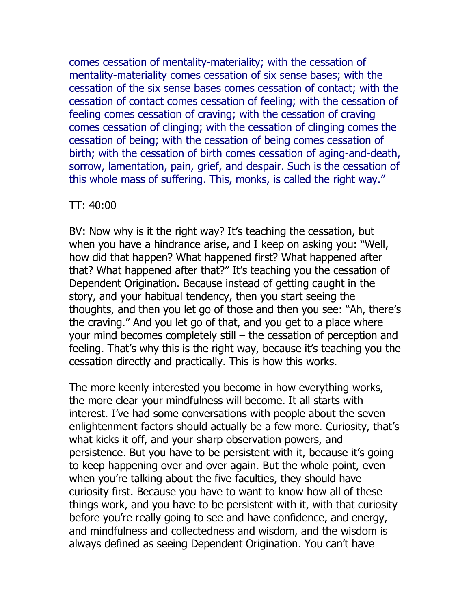comes cessation of mentality-materiality; with the cessation of mentality-materiality comes cessation of six sense bases; with the cessation of the six sense bases comes cessation of contact; with the cessation of contact comes cessation of feeling; with the cessation of feeling comes cessation of craving; with the cessation of craving comes cessation of clinging; with the cessation of clinging comes the cessation of being; with the cessation of being comes cessation of birth; with the cessation of birth comes cessation of aging-and-death, sorrow, lamentation, pain, grief, and despair. Such is the cessation of this whole mass of suffering. This, monks, is called the right way."

## $TT: 40:00$

BV: Now why is it the right way? It's teaching the cessation, but when you have a hindrance arise, and I keep on asking you: "Well, how did that happen? What happened first? What happened after that? What happened after that?" It's teaching you the cessation of Dependent Origination. Because instead of getting caught in the story, and your habitual tendency, then you start seeing the thoughts, and then you let go of those and then you see: "Ah, there's the craving." And you let go of that, and you get to a place where your mind becomes completely still – the cessation of perception and feeling. That's why this is the right way, because it's teaching you the cessation directly and practically. This is how this works.

The more keenly interested you become in how everything works, the more clear your mindfulness will become. It all starts with interest. I've had some conversations with people about the seven enlightenment factors should actually be a few more. Curiosity, that's what kicks it off, and your sharp observation powers, and persistence. But you have to be persistent with it, because it's going to keep happening over and over again. But the whole point, even when you're talking about the five faculties, they should have curiosity first. Because you have to want to know how all of these things work, and you have to be persistent with it, with that curiosity before you're really going to see and have confidence, and energy, and mindfulness and collectedness and wisdom, and the wisdom is always defined as seeing Dependent Origination. You can't have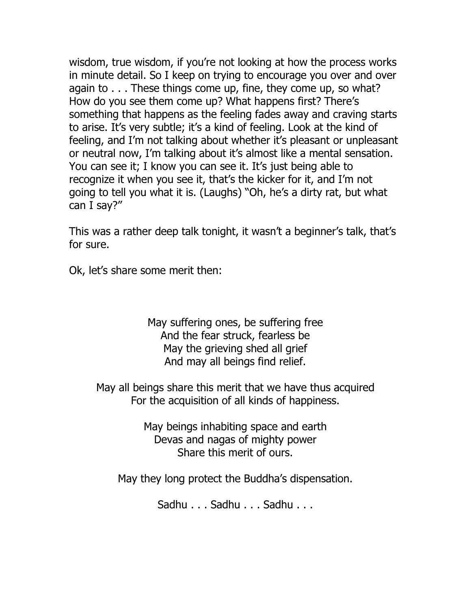wisdom, true wisdom, if you're not looking at how the process works in minute detail. So I keep on trying to encourage you over and over again to . . . These things come up, fine, they come up, so what? How do you see them come up? What happens first? There's something that happens as the feeling fades away and craving starts to arise. It's very subtle; it's a kind of feeling. Look at the kind of feeling, and I'm not talking about whether it's pleasant or unpleasant or neutral now, I'm talking about it's almost like a mental sensation. You can see it; I know you can see it. It's just being able to recognize it when you see it, that's the kicker for it, and I'm not going to tell you what it is. (Laughs) "Oh, he's a dirty rat, but what can I say?"

This was a rather deep talk tonight, it wasn't a beginner's talk, that's for sure.

Ok, let's share some merit then:

May suffering ones, be suffering free And the fear struck, fearless be May the grieving shed all grief And may all beings find relief.

May all beings share this merit that we have thus acquired For the acquisition of all kinds of happiness.

> May beings inhabiting space and earth Devas and nagas of mighty power Share this merit of ours.

May they long protect the Buddha's dispensation.

Sadhu . . . Sadhu . . . Sadhu . . .